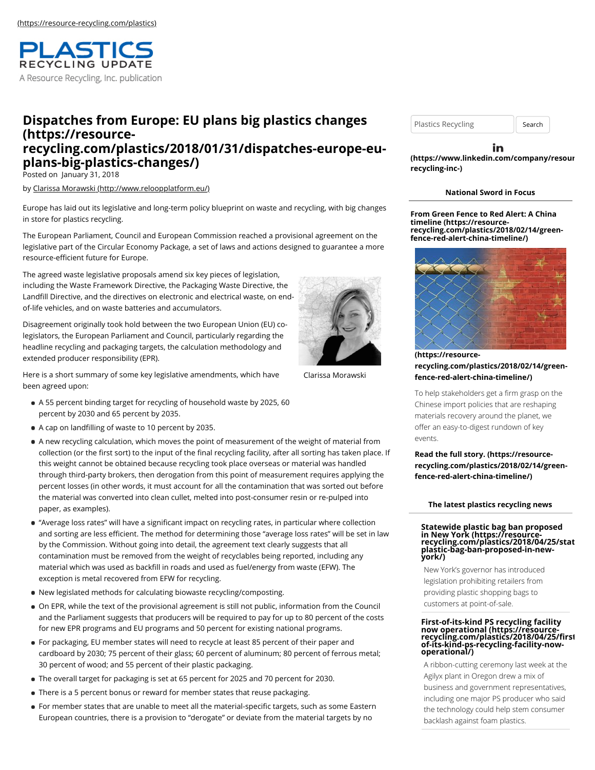

# **Dispatches from Europe: EU plans big plastics changes (https://resource[recycling.com/plastics/2018/01/31/dispatches-europe-eu](https://resource-recycling.com/plastics/2018/01/31/dispatches-europe-eu-plans-big-plastics-changes/)plans-big-plastics-changes/)**

Posted on January 31, 2018

by [Clarissa Morawski \(http://www.reloopplatform.eu/\)](http://www.reloopplatform.eu/)

Europe has laid out its legislative and long-term policy blueprint on waste and recycling, with big changes in store for plastics recycling.

The European Parliament, Council and European Commission reached a provisional agreement on the legislative part of the Circular Economy Package, a set of laws and actions designed to guarantee a more resource-efficient future for Europe.

The agreed waste legislative proposals amend six key pieces of legislation, including the Waste Framework Directive, the Packaging Waste Directive, the Landfill Directive, and the directives on electronic and electrical waste, on endof-life vehicles, and on waste batteries and accumulators.

Disagreement originally took hold between the two European Union (EU) colegislators, the European Parliament and Council, particularly regarding the headline recycling and packaging targets, the calculation methodology and extended producer responsibility (EPR).

Here is a short summary of some key legislative amendments, which have been agreed upon:

- A 55 percent binding target for recycling of household waste by 2025, 60 percent by 2030 and 65 percent by 2035.
- A cap on landfilling of waste to 10 percent by 2035.
- A new recycling calculation, which moves the point of measurement of the weight of material from collection (or the first sort) to the input of the final recycling facility, after all sorting has taken place. If this weight cannot be obtained because recycling took place overseas or material was handled through third-party brokers, then derogation from this point of measurement requires applying the percent losses (in other words, it must account for all the contamination that was sorted out before the material was converted into clean cullet, melted into post-consumer resin or re-pulped into paper, as examples).
- "Average loss rates" will have a significant impact on recycling rates, in particular where collection and sorting are less efficient. The method for determining those "average loss rates" will be set in law by the Commission. Without going into detail, the agreement text clearly suggests that all contamination must be removed from the weight of recyclables being reported, including any material which was used as backfill in roads and used as fuel/energy from waste (EFW). The exception is metal recovered from EFW for recycling.
- New legislated methods for calculating biowaste recycling/composting.
- On EPR, while the text of the provisional agreement is still not public, information from the Council and the Parliament suggests that producers will be required to pay for up to 80 percent of the costs for new EPR programs and EU programs and 50 percent for existing national programs.
- For packaging, EU member states will need to recycle at least 85 percent of their paper and cardboard by 2030; 75 percent of their glass; 60 percent of aluminum; 80 percent of ferrous metal; 30 percent of wood; and 55 percent of their plastic packaging.
- The overall target for packaging is set at 65 percent for 2025 and 70 percent for 2030.
- **There is a 5 percent bonus or reward for member states that reuse packaging.**
- For member states that are unable to meet all the material-specific targets, such as some Eastern European countries, there is a provision to "derogate" or deviate from the material targets by no

Plastics Recycling | Search

in **[\(https://www.linkedin.com/company/resour](https://www.linkedin.com/company/resource-recycling-inc-)cerecycling-inc-)**

#### **National Sword in Focus**

**From Green Fence to Red Alert: A China timeline (https://resource[recycling.com/plastics/2018/02/14/green](https://resource-recycling.com/plastics/2018/02/14/green-fence-red-alert-china-timeline/)fence-red-alert-china-timeline/)**



**(https://resource[recycling.com/plastics/2018/02/14/green](https://resource-recycling.com/plastics/2018/02/14/green-fence-red-alert-china-timeline/)fence-red-alert-china-timeline/)**

To help stakeholders get a firm grasp on the Chinese import policies that are reshaping materials recovery around the planet, we offer an easy-to-digest rundown of key events.

**Read the full story. (https://resource[recycling.com/plastics/2018/02/14/green](https://resource-recycling.com/plastics/2018/02/14/green-fence-red-alert-china-timeline/)fence-red-alert-china-timeline/)**

#### **The latest plastics recycling news**

### **Statewide plastic bag ban proposed in New York (https://resource- [recycling.com/plastics/2018/04/25/stat](https://resource-recycling.com/plastics/2018/04/25/statewide-plastic-bag-ban-proposed-in-new-york/)ewideplastic-bag-ban-proposed-in-newyork/)**

New York's governor has introduced legislation prohibiting retailers from

providing plastic shopping bags to customers at point-of-sale.

# **First-of-its-kind PS recycling facility now operational (https://resource- recycling.com/plastics/2018/04/25/first-[of-its-kind-ps-recycling-facility-now](https://resource-recycling.com/plastics/2018/04/25/first-of-its-kind-ps-recycling-facility-now-operational/)operational/)**

A ribbon-cutting ceremony last week at the Agilyx plant in Oregon drew a mix of business and government representatives, including one major PS producer who said the technology could help stem consumer backlash against foam plastics.



Clarissa Morawski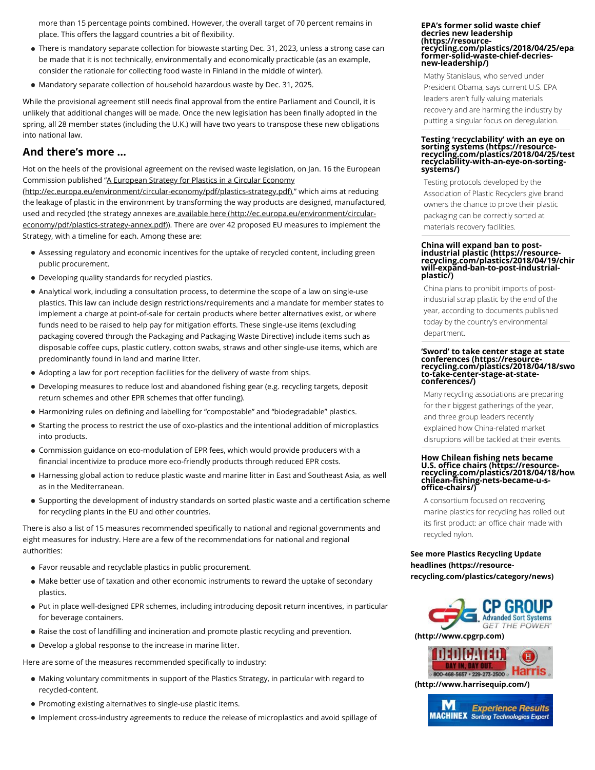more than 15 percentage points combined. However, the overall target of 70 percent remains in place. This offers the laggard countries a bit of flexibility.

- There is mandatory separate collection for biowaste starting Dec. 31, 2023, unless a strong case can be made that it is not technically, environmentally and economically practicable (as an example, consider the rationale for collecting food waste in Finland in the middle of winter).
- Mandatory separate collection of household hazardous waste by Dec. 31, 2025.

While the provisional agreement still needs final approval from the entire Parliament and Council, it is unlikely that additional changes will be made. Once the new legislation has been finally adopted in the spring, all 28 member states (including the U.K.) will have two years to transpose these new obligations into national law.

### **And there's more …**

Hot on the heels of the provisional agreement on the revised waste legislation, on Jan. 16 the European [Commission published "A European Strategy for Plastics in a Circular Economy](http://ec.europa.eu/environment/circular-economy/pdf/plastics-strategy.pdf)

(http://ec.europa.eu/environment/circular-economy/pdf/plastics-strategy.pdf)," which aims at reducing the leakage of plastic in the environment by transforming the way products are designed, manufactured, [used and recycled \(the strategy annexes are available here \(http://ec.europa.eu/environment/circular](http://ec.europa.eu/environment/circular-economy/pdf/plastics-strategy-annex.pdf)economy/pdf/plastics-strategy-annex.pdf)). There are over 42 proposed EU measures to implement the Strategy, with a timeline for each. Among these are:

- Assessing regulatory and economic incentives for the uptake of recycled content, including green public procurement.
- Developing quality standards for recycled plastics.
- Analytical work, including a consultation process, to determine the scope of a law on single-use plastics. This law can include design restrictions/requirements and a mandate for member states to implement a charge at point-of-sale for certain products where better alternatives exist, or where funds need to be raised to help pay for mitigation efforts. These single-use items (excluding packaging covered through the Packaging and Packaging Waste Directive) include items such as disposable coffee cups, plastic cutlery, cotton swabs, straws and other single-use items, which are predominantly found in land and marine litter.
- Adopting a law for port reception facilities for the delivery of waste from ships.
- Developing measures to reduce lost and abandoned fishing gear (e.g. recycling targets, deposit return schemes and other EPR schemes that offer funding).
- Harmonizing rules on defining and labelling for "compostable" and "biodegradable" plastics.
- Starting the process to restrict the use of oxo-plastics and the intentional addition of microplastics into products.
- Commission guidance on eco-modulation of EPR fees, which would provide producers with a financial incentivize to produce more eco-friendly products through reduced EPR costs.
- Harnessing global action to reduce plastic waste and marine litter in East and Southeast Asia, as well as in the Mediterranean.
- Supporting the development of industry standards on sorted plastic waste and a certification scheme for recycling plants in the EU and other countries.

There is also a list of 15 measures recommended specifically to national and regional governments and eight measures for industry. Here are a few of the recommendations for national and regional authorities:

- Favor reusable and recyclable plastics in public procurement.
- Make better use of taxation and other economic instruments to reward the uptake of secondary plastics.
- Put in place well-designed EPR schemes, including introducing deposit return incentives, in particular for beverage containers.
- Raise the cost of landfilling and incineration and promote plastic recycling and prevention.
- Develop a global response to the increase in marine litter.

Here are some of the measures recommended specifically to industry:

- Making voluntary commitments in support of the Plastics Strategy, in particular with regard to recycled-content.
- **Promoting existing alternatives to single-use plastic items.**
- Implement cross-industry agreements to reduce the release of microplastics and avoid spillage of

#### **EPA's former solid waste chief decries new leadership (https://resource[recycling.com/plastics/2018/04/25/epas](https://resource-recycling.com/plastics/2018/04/25/epas-former-solid-waste-chief-decries-new-leadership/)former-solid-waste-chief-decriesnew-leadership/)**

Mathy Stanislaus, who served under President Obama, says current U.S. EPA leaders aren't fully valuing materials recovery and are harming the industry by putting a singular focus on deregulation.

# **Testing 'recyclability' with an eye on sorting systems (https://resource- [recycling.com/plastics/2018/04/25/test](https://resource-recycling.com/plastics/2018/04/25/testing-recyclability-with-an-eye-on-sorting-systems/)ing-recyclability-with-an-eye-on-sortingsystems/)**

Testing protocols developed by the Association of Plastic Recyclers give brand owners the chance to prove their plastic packaging can be correctly sorted at materials recovery facilities.

# **China will expand ban to post-industrial plastic (https://resource- [recycling.com/plastics/2018/04/19/chin](https://resource-recycling.com/plastics/2018/04/19/china-will-expand-ban-to-post-industrial-plastic/)awill-expand-ban-to-post-industrialplastic/)**

China plans to prohibit imports of postindustrial scrap plastic by the end of the year, according to documents published today by the country's environmental department.

#### **'Sword' to take center stage at state conferences (https://resource- [recycling.com/plastics/2018/04/18/swo](https://resource-recycling.com/plastics/2018/04/18/sword-to-take-center-stage-at-state-conferences/)rdto-take-center-stage-at-stateconferences/)**

Many recycling associations are preparing for their biggest gatherings of the year, and three group leaders recently explained how China-related market

disruptions will be tackled at their events.

# **How Chilean fishing nets became U.S. office chairs (https://resource- [recycling.com/plastics/2018/04/18/how](https://resource-recycling.com/plastics/2018/04/18/how-chilean-fishing-nets-became-u-s-office-chairs/)chilean-fishing-nets-became-u-s-**<br>chilean-fishing-nets-became-u-s**office-chairs/)**

A consortium focused on recovering marine plastics for recycling has rolled out its first product: an office chair made with recycled nylon.

#### **See more Plastics Recycling Update headlines (https://resource[recycling.com/plastics/category/news\)](https://resource-recycling.com/plastics/category/news)**





**[\(http://www.harrisequip.com/\)](http://www.harrisequip.com/)**

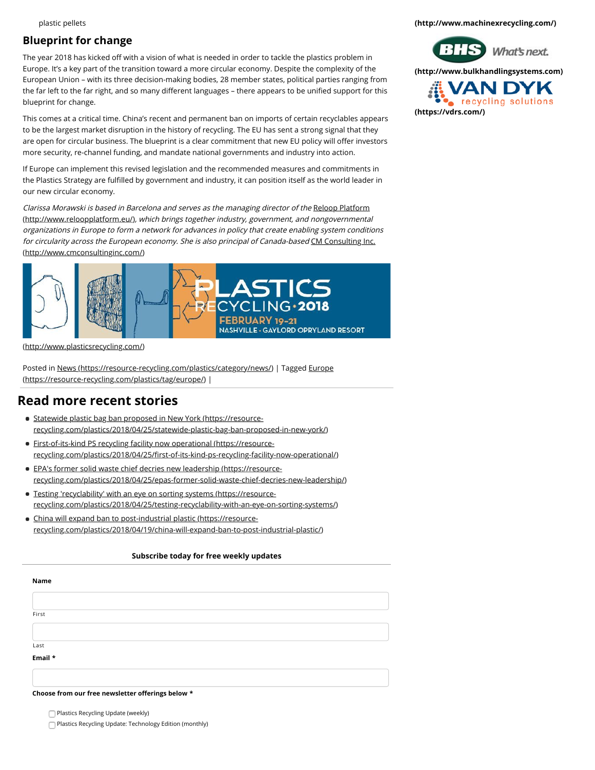#### plastic pellets

### **Blueprint for change**

The year 2018 has kicked off with a vision of what is needed in order to tackle the plastics problem in Europe. It's a key part of the transition toward a more circular economy. Despite the complexity of the European Union – with its three decision-making bodies, 28 member states, political parties ranging from the far left to the far right, and so many different languages – there appears to be unified support for this blueprint for change.

This comes at a critical time. China's recent and permanent ban on imports of certain recyclables appears to be the largest market disruption in the history of recycling. The EU has sent a strong signal that they are open for circular business. The blueprint is a clear commitment that new EU policy will offer investors more security, re-channel funding, and mandate national governments and industry into action.

If Europe can implement this revised legislation and the recommended measures and commitments in the Plastics Strategy are fulfilled by government and industry, it can position itself as the world leader in our new circular economy.

[Clarissa Morawski is based in Barcelona and serves as the managing director of the](http://www.reloopplatform.eu/) Reloop Platform (http://www.reloopplatform.eu/), which brings together industry, government, and nongovernmental organizations in Europe to form a network for advances in policy that create enabling system conditions [for circularity across the European economy. She is also principal of Canada-based](http://www.cmconsultinginc.com/) CM Consulting Inc. (http://www.cmconsultinginc.com/)



[\(http://www.plasticsrecycling.com/\)](http://www.plasticsrecycling.com/)

[Posted in N](https://resource-recycling.com/plastics/tag/europe/)[ews \(https://resource-recycling.com/plastics/category/news/](https://resource-recycling.com/plastics/category/news/)[\)](https://resource-recycling.com/plastics/tag/europe/) | Tagged Europe (https://resource-recycling.com/plastics/tag/europe/) |

### **Read more recent stories**

- Statewide plastic bag ban proposed in New York (https://resource[recycling.com/plastics/2018/04/25/statewide-plastic-bag-ban-proposed-in-new-york/\)](https://resource-recycling.com/plastics/2018/04/25/statewide-plastic-bag-ban-proposed-in-new-york/)
- [First-of-its-kind PS recycling facility now operational \(https://resource](https://resource-recycling.com/plastics/2018/04/25/first-of-its-kind-ps-recycling-facility-now-operational/)recycling.com/plastics/2018/04/25/first-of-its-kind-ps-recycling-facility-now-operational/)
- EPA's former solid waste chief decries new leadership (https://resource[recycling.com/plastics/2018/04/25/epas-former-solid-waste-chief-decries-new-leadership/\)](https://resource-recycling.com/plastics/2018/04/25/epas-former-solid-waste-chief-decries-new-leadership/)
- Testing 'recyclability' with an eye on sorting systems (https://resource[recycling.com/plastics/2018/04/25/testing-recyclability-with-an-eye-on-sorting-systems/\)](https://resource-recycling.com/plastics/2018/04/25/testing-recyclability-with-an-eye-on-sorting-systems/)
- China will expand ban to post-industrial plastic (https://resource[recycling.com/plastics/2018/04/19/china-will-expand-ban-to-post-industrial-plastic/\)](https://resource-recycling.com/plastics/2018/04/19/china-will-expand-ban-to-post-industrial-plastic/)

#### **Subscribe today for free weekly updates**

| Name                                              |  |  |  |
|---------------------------------------------------|--|--|--|
|                                                   |  |  |  |
| First                                             |  |  |  |
|                                                   |  |  |  |
| Last                                              |  |  |  |
| Email *                                           |  |  |  |
|                                                   |  |  |  |
| Choose from our free newsletter offerings below * |  |  |  |

Plastics Recycling Update (weekly)

Plastics Recycling Update: Technology Edition (monthly)

**[\(http://www.machinexrecycling.com/\)](http://www.machinexrecycling.com/)**